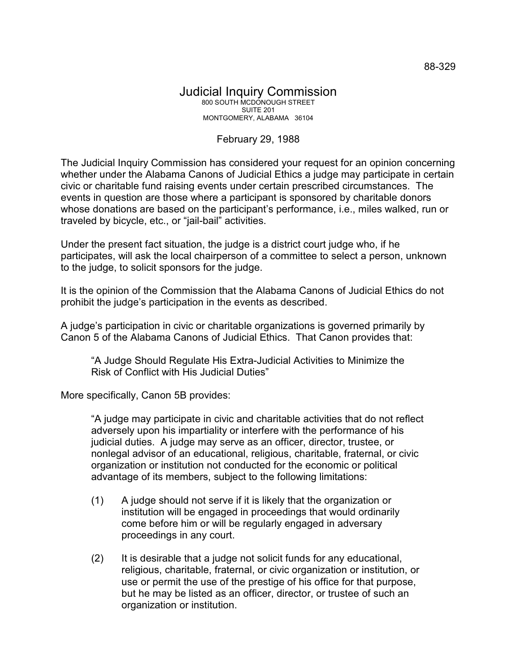## Judicial Inquiry Commission 800 SOUTH MCDONOUGH STREET SUITE 201 MONTGOMERY, ALABAMA 36104

## February 29, 1988

The Judicial Inquiry Commission has considered your request for an opinion concerning whether under the Alabama Canons of Judicial Ethics a judge may participate in certain civic or charitable fund raising events under certain prescribed circumstances. The events in question are those where a participant is sponsored by charitable donors whose donations are based on the participant's performance, i.e., miles walked, run or traveled by bicycle, etc., or "jail-bail" activities.

Under the present fact situation, the judge is a district court judge who, if he participates, will ask the local chairperson of a committee to select a person, unknown to the judge, to solicit sponsors for the judge.

It is the opinion of the Commission that the Alabama Canons of Judicial Ethics do not prohibit the judge's participation in the events as described.

A judge's participation in civic or charitable organizations is governed primarily by Canon 5 of the Alabama Canons of Judicial Ethics. That Canon provides that:

"A Judge Should Regulate His Extra-Judicial Activities to Minimize the Risk of Conflict with His Judicial Duties"

More specifically, Canon 5B provides:

"A judge may participate in civic and charitable activities that do not reflect adversely upon his impartiality or interfere with the performance of his judicial duties. A judge may serve as an officer, director, trustee, or nonlegal advisor of an educational, religious, charitable, fraternal, or civic organization or institution not conducted for the economic or political advantage of its members, subject to the following limitations:

- (1) A judge should not serve if it is likely that the organization or institution will be engaged in proceedings that would ordinarily come before him or will be regularly engaged in adversary proceedings in any court.
- (2) It is desirable that a judge not solicit funds for any educational, religious, charitable, fraternal, or civic organization or institution, or use or permit the use of the prestige of his office for that purpose, but he may be listed as an officer, director, or trustee of such an organization or institution.